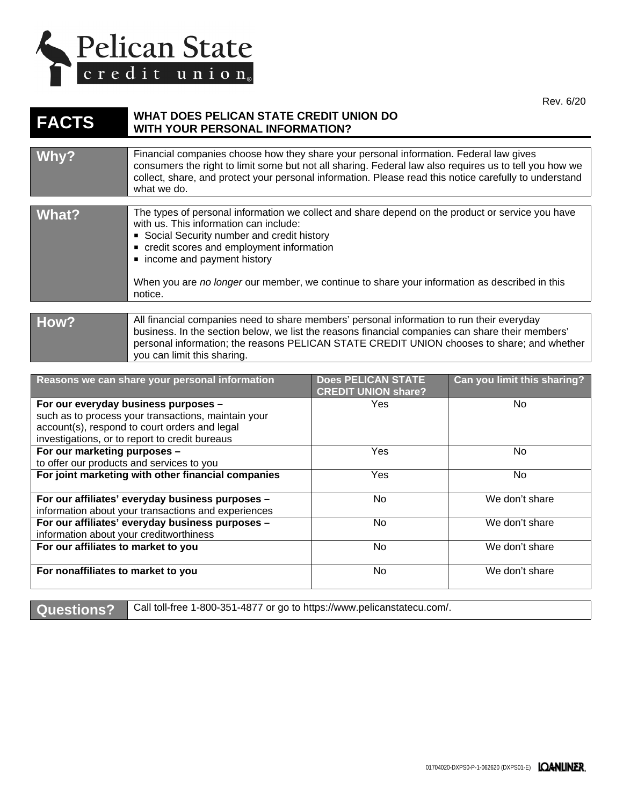

Rev. 6/20

## **FACTS** WHAT DOES PELICAN STATE CREDIT UNION DO **WITH YOUR PERSONAL INFORMATION?**

| Why?                                                                                                                                                                                                                                                                                                                               | Financial companies choose how they share your personal information. Federal law gives<br>consumers the right to limit some but not all sharing. Federal law also requires us to tell you how we<br>collect, share, and protect your personal information. Please read this notice carefully to understand<br>what we do.                                                         |                                                         |                             |
|------------------------------------------------------------------------------------------------------------------------------------------------------------------------------------------------------------------------------------------------------------------------------------------------------------------------------------|-----------------------------------------------------------------------------------------------------------------------------------------------------------------------------------------------------------------------------------------------------------------------------------------------------------------------------------------------------------------------------------|---------------------------------------------------------|-----------------------------|
| What?                                                                                                                                                                                                                                                                                                                              | The types of personal information we collect and share depend on the product or service you have<br>with us. This information can include:<br>• Social Security number and credit history<br>credit scores and employment information<br>• income and payment history<br>When you are no longer our member, we continue to share your information as described in this<br>notice. |                                                         |                             |
| All financial companies need to share members' personal information to run their everyday<br>How?<br>business. In the section below, we list the reasons financial companies can share their members'<br>personal information; the reasons PELICAN STATE CREDIT UNION chooses to share; and whether<br>you can limit this sharing. |                                                                                                                                                                                                                                                                                                                                                                                   |                                                         |                             |
| Reasons we can share your personal information                                                                                                                                                                                                                                                                                     |                                                                                                                                                                                                                                                                                                                                                                                   | <b>Does PELICAN STATE</b><br><b>CREDIT UNION share?</b> | Can you limit this sharing? |
| For our everyday business purposes -<br>المدد مالمقمالم ممارات متمالقه ماما مستقبلة مدددة والمستور مقراط مامرار                                                                                                                                                                                                                    |                                                                                                                                                                                                                                                                                                                                                                                   | Yes                                                     | No.                         |

| For our everyday business purposes -                | Yes | No.            |
|-----------------------------------------------------|-----|----------------|
| such as to process your transactions, maintain your |     |                |
| account(s), respond to court orders and legal       |     |                |
| investigations, or to report to credit bureaus      |     |                |
| For our marketing purposes -                        | Yes | No.            |
| to offer our products and services to you           |     |                |
| For joint marketing with other financial companies  | Yes | No.            |
|                                                     |     |                |
| For our affiliates' everyday business purposes -    | No. | We don't share |
| information about your transactions and experiences |     |                |
| For our affiliates' everyday business purposes -    | No. | We don't share |
| information about your creditworthiness             |     |                |
| For our affiliates to market to you                 | No. | We don't share |
|                                                     |     |                |
| For nonaffiliates to market to you                  | No. | We don't share |
|                                                     |     |                |

**Questions?** Call toll-free 1-800-351-4877 or go to <https://www.pelicanstatecu.com/>.